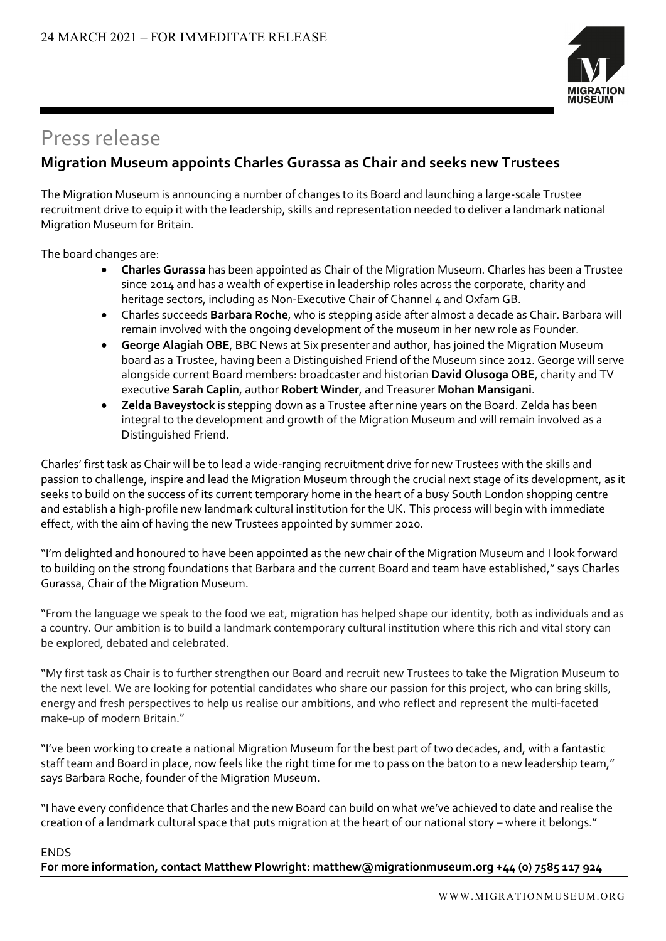

## Press release

### **Migration Museum appoints Charles Gurassa as Chair and seeks new Trustees**

The Migration Museum is announcing a number of changes to its Board and launching a large-scale Trustee recruitment drive to equip it with the leadership, skills and representation needed to deliver a landmark national Migration Museum for Britain.

The board changes are:

- **Charles Gurassa** has been appointed as Chair of the Migration Museum. Charles has been a Trustee since 2014 and has a wealth of expertise in leadership roles across the corporate, charity and heritage sectors, including as Non-Executive Chair of Channel 4 and Oxfam GB.
- Charles succeeds **Barbara Roche**, who is stepping aside after almost a decade as Chair. Barbara will remain involved with the ongoing development of the museum in her new role as Founder.
- **George Alagiah OBE**, BBC News at Six presenter and author, has joined the Migration Museum board as a Trustee, having been a Distinguished Friend of the Museum since 2012. George will serve alongside current Board members: broadcaster and historian **David Olusoga OBE**, charity and TV executive **Sarah Caplin**, author **Robert Winder**, and Treasurer **Mohan Mansigani**.
- **Zelda Baveystock** is stepping down as a Trustee after nine years on the Board. Zelda has been integral to the development and growth of the Migration Museum and will remain involved as a Distinguished Friend.

Charles' first task as Chair will be to lead a wide-ranging recruitment drive for new Trustees with the skills and passion to challenge, inspire and lead the Migration Museum through the crucial next stage of its development, as it seeks to build on the success of its current temporary home in the heart of a busy South London shopping centre and establish a high-profile new landmark cultural institution for the UK. This process will begin with immediate effect, with the aim of having the new Trustees appointed by summer 2020.

"I'm delighted and honoured to have been appointed as the new chair of the Migration Museum and I look forward to building on the strong foundations that Barbara and the current Board and team have established," says Charles Gurassa, Chair of the Migration Museum.

"From the language we speak to the food we eat, migration has helped shape our identity, both as individuals and as a country. Our ambition is to build a landmark contemporary cultural institution where this rich and vital story can be explored, debated and celebrated.

"My first task as Chair is to further strengthen our Board and recruit new Trustees to take the Migration Museum to the next level. We are looking for potential candidates who share our passion for this project, who can bring skills, energy and fresh perspectives to help us realise our ambitions, and who reflect and represent the multi-faceted make-up of modern Britain."

"I've been working to create a national Migration Museum for the best part of two decades, and, with a fantastic staff team and Board in place, now feels like the right time for me to pass on the baton to a new leadership team," says Barbara Roche, founder of the Migration Museum.

"I have every confidence that Charles and the new Board can build on what we've achieved to date and realise the creation of a landmark cultural space that puts migration at the heart of our national story – where it belongs."

#### ENDS

**For more information, contact Matthew Plowright: matthew@migrationmuseum.org +44 (0) 7585 117 924**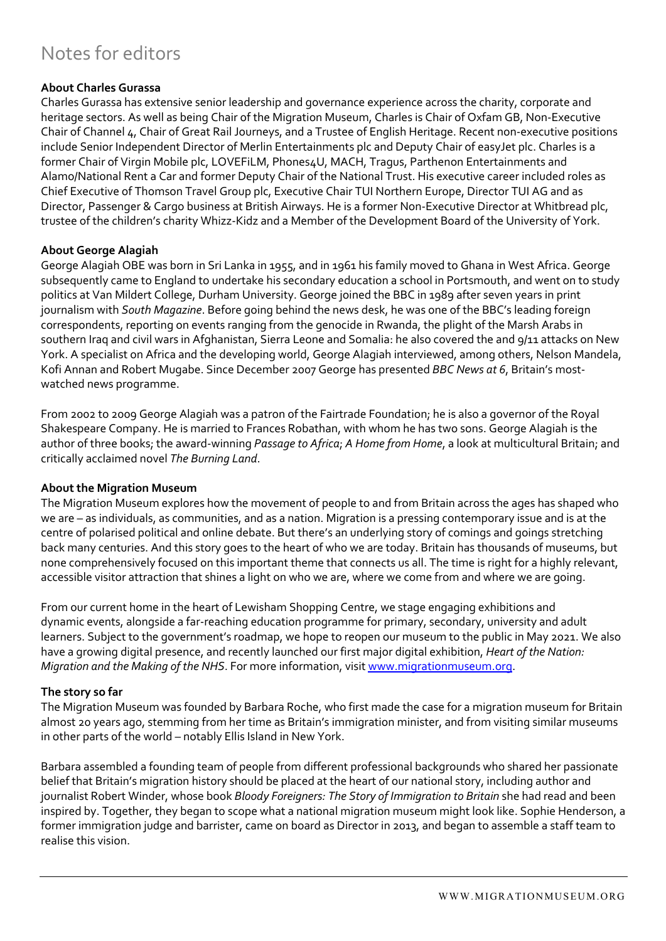# Notes for editors

#### **About Charles Gurassa**

Charles Gurassa has extensive senior leadership and governance experience across the charity, corporate and heritage sectors. As well as being Chair of the Migration Museum, Charles is Chair of Oxfam GB, Non-Executive Chair of Channel 4, Chair of Great Rail Journeys, and a Trustee of English Heritage. Recent non-executive positions include Senior Independent Director of Merlin Entertainments plc and Deputy Chair of easyJet plc. Charles is a former Chair of Virgin Mobile plc, LOVEFiLM, Phones4U, MACH, Tragus, Parthenon Entertainments and Alamo/National Rent a Car and former Deputy Chair of the National Trust. His executive career included roles as Chief Executive of Thomson Travel Group plc, Executive Chair TUI Northern Europe, Director TUI AG and as Director, Passenger & Cargo business at British Airways. He is a former Non-Executive Director at Whitbread plc, trustee of the children's charity Whizz-Kidz and a Member of the Development Board of the University of York.

#### **About George Alagiah**

George Alagiah OBE was born in Sri Lanka in 1955, and in 1961 his family moved to Ghana in West Africa. George subsequently came to England to undertake his secondary education a school in Portsmouth, and went on to study politics at Van Mildert College, Durham University. George joined the BBC in 1989 after seven years in print journalism with *South Magazine*. Before going behind the news desk, he was one of the BBC's leading foreign correspondents, reporting on events ranging from the genocide in Rwanda, the plight of the Marsh Arabs in southern Iraq and civil wars in Afghanistan, Sierra Leone and Somalia: he also covered the and 9/11 attacks on New York. A specialist on Africa and the developing world, George Alagiah interviewed, among others, Nelson Mandela, Kofi Annan and Robert Mugabe. Since December 2007 George has presented *BBC News at 6*, Britain's mostwatched news programme.

From 2002 to 2009 George Alagiah was a patron of the Fairtrade Foundation; he is also a governor of the Royal Shakespeare Company. He is married to Frances Robathan, with whom he has two sons. George Alagiah is the author of three books; the award-winning *Passage to Africa*; *A Home from Home*, a look at multicultural Britain; and critically acclaimed novel *The Burning Land*.

#### **About the Migration Museum**

The Migration Museum explores how the movement of people to and from Britain across the ages has shaped who we are – as individuals, as communities, and as a nation. Migration is a pressing contemporary issue and is at the centre of polarised political and online debate. But there's an underlying story of comings and goings stretching back many centuries. And this story goes to the heart of who we are today. Britain has thousands of museums, but none comprehensively focused on this important theme that connects us all. The time is right for a highly relevant, accessible visitor attraction that shines a light on who we are, where we come from and where we are going.

From our current home in the heart of Lewisham Shopping Centre, we stage engaging exhibitions and dynamic events, alongside a far-reaching education programme for primary, secondary, university and adult learners. Subject to the government's roadmap, we hope to reopen our museum to the public in May 2021. We also have a growing digital presence, and recently launched our first major digital exhibition, *Heart of the Nation: Migration and the Making of the NHS*. For more information, visit www.migrationmuseum.org.

#### **The story so far**

The Migration Museum was founded by Barbara Roche, who first made the case for a migration museum for Britain almost 20 years ago, stemming from her time as Britain's immigration minister, and from visiting similar museums in other parts of the world – notably Ellis Island in New York.

Barbara assembled a founding team of people from different professional backgrounds who shared her passionate belief that Britain's migration history should be placed at the heart of our national story, including author and journalist Robert Winder, whose book *Bloody Foreigners: The Story of Immigration to Britain* she had read and been inspired by. Together, they began to scope what a national migration museum might look like. Sophie Henderson, a former immigration judge and barrister, came on board as Director in 2013, and began to assemble a staff team to realise this vision.